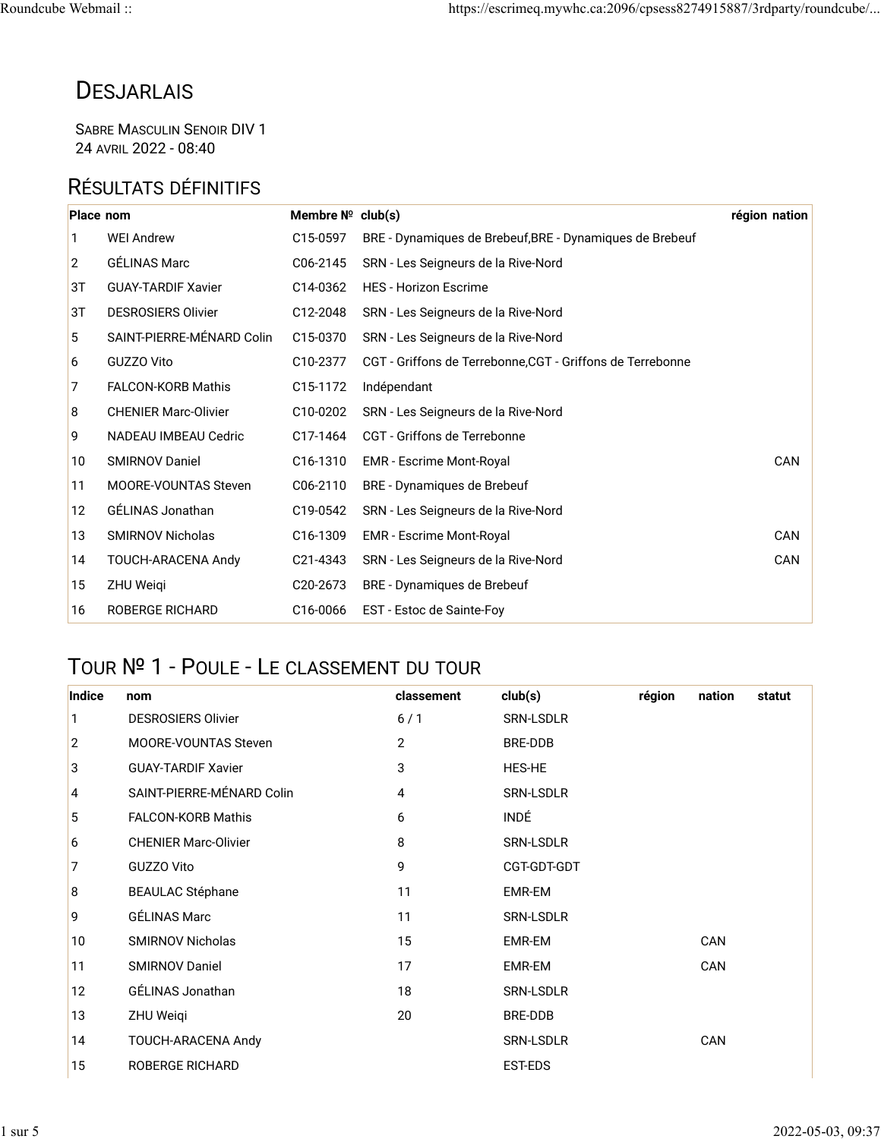## **DESJARLAIS**

SABRE MASCULIN SENOIR DIV 1 24 AVRIL 2022 - 08:40

### RÉSULTATS DÉFINITIFS

| Place nom |                             | Membre $N^{\circ}$ club(s) |                                                            | région nation |
|-----------|-----------------------------|----------------------------|------------------------------------------------------------|---------------|
| 1         | <b>WEI Andrew</b>           | C15-0597                   | BRE - Dynamiques de Brebeuf, BRE - Dynamiques de Brebeuf   |               |
| 2         | <b>GÉLINAS Marc</b>         | C06-2145                   | SRN - Les Seigneurs de la Rive-Nord                        |               |
| 3T        | <b>GUAY-TARDIF Xavier</b>   | C14-0362                   | <b>HES - Horizon Escrime</b>                               |               |
| 3T        | <b>DESROSIERS Olivier</b>   | C12-2048                   | SRN - Les Seigneurs de la Rive-Nord                        |               |
| 5         | SAINT-PIERRE-MÉNARD Colin   | C15-0370                   | SRN - Les Seigneurs de la Rive-Nord                        |               |
| 6         | GUZZO Vito                  | C10-2377                   | CGT - Griffons de Terrebonne, CGT - Griffons de Terrebonne |               |
| 7         | <b>FALCON-KORB Mathis</b>   | C15-1172                   | Indépendant                                                |               |
| 8         | <b>CHENIER Marc-Olivier</b> | C10-0202                   | SRN - Les Seigneurs de la Rive-Nord                        |               |
| 9         | NADEAU IMBEAU Cedric        | C17-1464                   | CGT - Griffons de Terrebonne                               |               |
| 10        | <b>SMIRNOV Daniel</b>       | C16-1310                   | <b>EMR</b> - Escrime Mont-Royal                            | CAN           |
| 11        | <b>MOORE-VOUNTAS Steven</b> | C06-2110                   | BRE - Dynamiques de Brebeuf                                |               |
| 12        | GÉLINAS Jonathan            | C19-0542                   | SRN - Les Seigneurs de la Rive-Nord                        |               |
| 13        | <b>SMIRNOV Nicholas</b>     | C16-1309                   | <b>EMR</b> - Escrime Mont-Royal                            | CAN           |
| 14        | TOUCH-ARACENA Andy          | C21-4343                   | SRN - Les Seigneurs de la Rive-Nord                        | CAN           |
| 15        | ZHU Weigi                   | C <sub>20</sub> -2673      | BRE - Dynamiques de Brebeuf                                |               |
| 16        | <b>ROBERGE RICHARD</b>      | C16-0066                   | EST - Estoc de Sainte-Foy                                  |               |

### TOUR № 1 - POULE - LE CLASSEMENT DU TOUR

| Indice         | nom                         | classement | club(s)          | région | nation | statut |
|----------------|-----------------------------|------------|------------------|--------|--------|--------|
| 1              | <b>DESROSIERS Olivier</b>   | 6/1        | <b>SRN-LSDLR</b> |        |        |        |
| $\overline{2}$ | <b>MOORE-VOUNTAS Steven</b> | 2          | BRE-DDB          |        |        |        |
| 3              | <b>GUAY-TARDIF Xavier</b>   | 3          | <b>HES-HE</b>    |        |        |        |
| 4              | SAINT-PIERRE-MÉNARD Colin   | 4          | SRN-LSDLR        |        |        |        |
| 5              | <b>FALCON-KORB Mathis</b>   | 6          | <b>INDÉ</b>      |        |        |        |
| 6              | <b>CHENIER Marc-Olivier</b> | 8          | SRN-LSDLR        |        |        |        |
| 7              | GUZZO Vito                  | 9          | CGT-GDT-GDT      |        |        |        |
| 8              | <b>BEAULAC Stéphane</b>     | 11         | EMR-EM           |        |        |        |
| 9              | GÉLINAS Marc                | 11         | SRN-LSDLR        |        |        |        |
| 10             | <b>SMIRNOV Nicholas</b>     | 15         | EMR-EM           |        | CAN    |        |
| 11             | <b>SMIRNOV Daniel</b>       | 17         | EMR-EM           |        | CAN    |        |
| 12             | GÉLINAS Jonathan            | 18         | SRN-LSDLR        |        |        |        |
| 13             | ZHU Weiqi                   | 20         | BRE-DDB          |        |        |        |
| 14             | TOUCH-ARACENA Andy          |            | SRN-LSDLR        |        | CAN    |        |
| 15             | <b>ROBERGE RICHARD</b>      |            | EST-EDS          |        |        |        |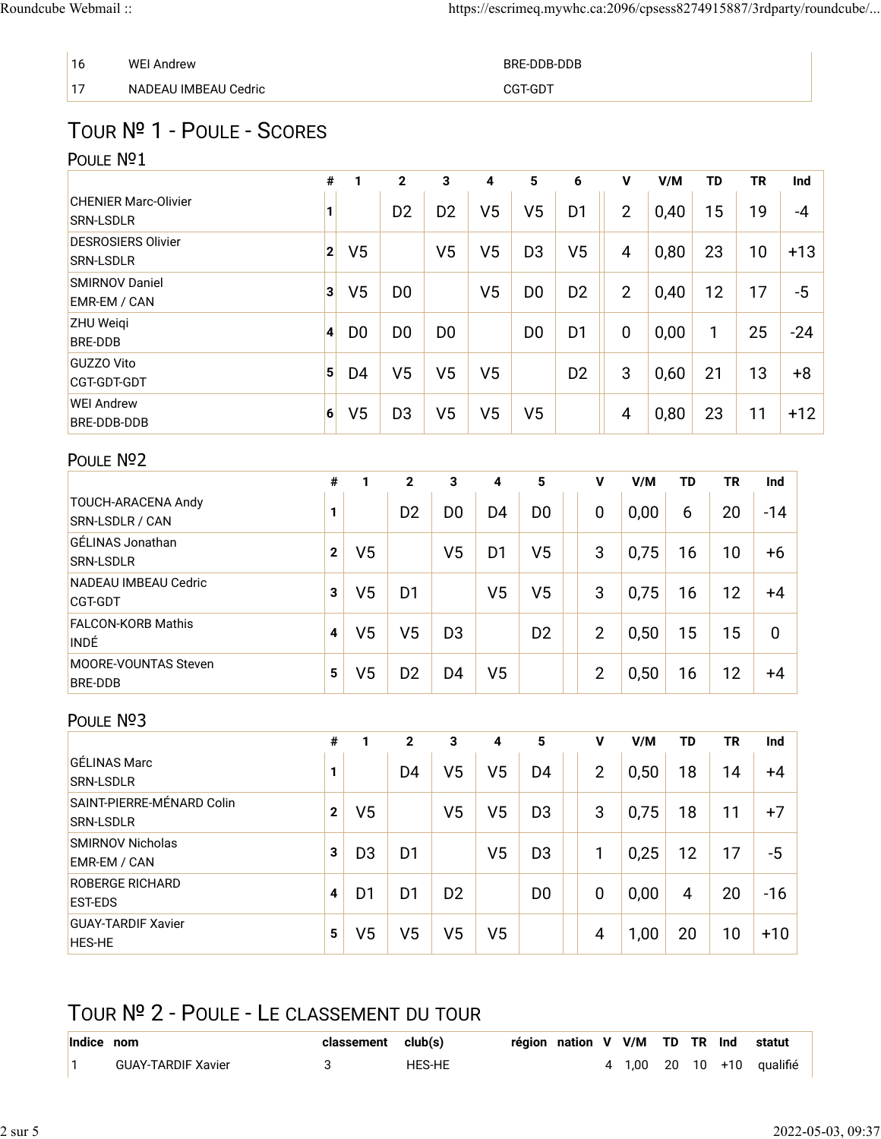| 16 | <b>WEI Andrew</b>    | BRE-DDB-DDB |
|----|----------------------|-------------|
| 17 | NADEAU IMBEAU Cedric | CGT-GDT     |

# TOUR № 1 - POULE - SCORES

### POULE Nº1

|                                                 | #              |                | $\mathbf{2}$   | 3              | 4              | 5              | 6              | V              | V/M  | <b>TD</b> | <b>TR</b> | Ind   |
|-------------------------------------------------|----------------|----------------|----------------|----------------|----------------|----------------|----------------|----------------|------|-----------|-----------|-------|
| <b>CHENIER Marc-Olivier</b><br><b>SRN-LSDLR</b> | 1              |                | D <sub>2</sub> | D <sub>2</sub> | V <sub>5</sub> | V5             | D1             | $\overline{2}$ | 0,40 | 15        | 19        | -4    |
| <b>DESROSIERS Olivier</b><br><b>SRN-LSDLR</b>   | 2 <sup>1</sup> | V <sub>5</sub> |                | V <sub>5</sub> | V <sub>5</sub> | D <sub>3</sub> | V <sub>5</sub> | 4              | 0,80 | 23        | 10        | $+13$ |
| <b>SMIRNOV Daniel</b><br>EMR-EM / CAN           | 3              | V <sub>5</sub> | D <sub>0</sub> |                | V <sub>5</sub> | D <sub>0</sub> | D <sub>2</sub> | $\overline{2}$ | 0,40 | 12        | 17        | $-5$  |
| <b>ZHU Weigi</b><br>BRE-DDB                     | $\vert$        | D <sub>0</sub> | D <sub>0</sub> | D <sub>0</sub> |                | D <sub>0</sub> | D1             | 0              | 0,00 | 1         | 25        | $-24$ |
| <b>GUZZO Vito</b><br>CGT-GDT-GDT                | 5 <sup>1</sup> | D <sub>4</sub> | V <sub>5</sub> | V <sub>5</sub> | V <sub>5</sub> |                | D <sub>2</sub> | 3              | 0,60 | 21        | 13        | $+8$  |
| <b>WEI Andrew</b><br>BRE-DDB-DDB                | 6 <sup>1</sup> | V <sub>5</sub> | D <sub>3</sub> | V <sub>5</sub> | V <sub>5</sub> | V5             |                | 4              | 0,80 | 23        | 11        | $+12$ |

#### POULE Nº2

|                                        | #            | 1              | $\mathbf{2}$   | 3  | 4              | 5              | v              | V/M  | TD | ΤR | Ind         |
|----------------------------------------|--------------|----------------|----------------|----|----------------|----------------|----------------|------|----|----|-------------|
| TOUCH-ARACENA Andy<br>SRN-LSDLR / CAN  | 1            |                | D <sub>2</sub> | D0 | D <sub>4</sub> | D <sub>0</sub> | $\overline{0}$ | 0,00 | 6  | 20 | $-14$       |
| GÉLINAS Jonathan<br><b>SRN-LSDLR</b>   | $\mathbf{2}$ | V <sub>5</sub> |                | V5 | D <sub>1</sub> | V5             | 3              | 0,75 | 16 | 10 | $+6$        |
| NADEAU IMBEAU Cedric<br><b>CGT-GDT</b> | 3            | V5             | D <sub>1</sub> |    | V <sub>5</sub> | V5             | 3              | 0,75 | 16 | 12 | +4          |
| <b>FALCON-KORB Mathis</b><br>INDÉ      | 4            | V5             | V <sub>5</sub> | D3 |                | D <sub>2</sub> | $\overline{2}$ | 0,50 | 15 | 15 | $\mathbf 0$ |
| <b>MOORE-VOUNTAS Steven</b><br>BRE-DDB | 5            | V5             | D <sub>2</sub> | D4 | V <sub>5</sub> |                | $\overline{2}$ | 0,50 | 16 | 12 | +4          |

#### POULE Nº3

|                                               | #            |                | $\mathbf{2}$   | 3              | 4              | 5              | ۷              | V/M  | TD | <b>TR</b> | Ind   |
|-----------------------------------------------|--------------|----------------|----------------|----------------|----------------|----------------|----------------|------|----|-----------|-------|
| GÉLINAS Marc<br><b>SRN-LSDLR</b>              | 1            |                | D <sub>4</sub> | V5             | V5             | D4             | $\overline{2}$ | 0,50 | 18 | 14        | +4    |
| SAINT-PIERRE-MÉNARD Colin<br><b>SRN-LSDLR</b> | $\mathbf{2}$ | V5             |                | V5             | V5             | D <sub>3</sub> | 3              | 0,75 | 18 | 11        | $+7$  |
| <b>SMIRNOV Nicholas</b><br>EMR-EM / CAN       | 3            | D <sub>3</sub> | D1             |                | V <sub>5</sub> | D <sub>3</sub> |                | 0,25 | 12 | 17        | -5    |
| <b>ROBERGE RICHARD</b><br><b>EST-EDS</b>      | 4            | D <sub>1</sub> | D <sub>1</sub> | D <sub>2</sub> |                | D <sub>0</sub> | 0              | 0,00 | 4  | 20        | $-16$ |
| <b>GUAY-TARDIF Xavier</b><br><b>HES-HE</b>    | 5            | V5             | V5             | V5             | V5             |                | 4              | 1,00 | 20 | 10        | $+10$ |

## TOUR № 2 - POULE - LE CLASSEMENT DU TOUR

| Indice nom                | classement club(s) |        | région nation V V/M TD TR Ind statut |  |  |  |                           |
|---------------------------|--------------------|--------|--------------------------------------|--|--|--|---------------------------|
| <b>GUAY-TARDIF Xavier</b> |                    | HES-HE |                                      |  |  |  | 4 1.00 20 10 +10 qualifié |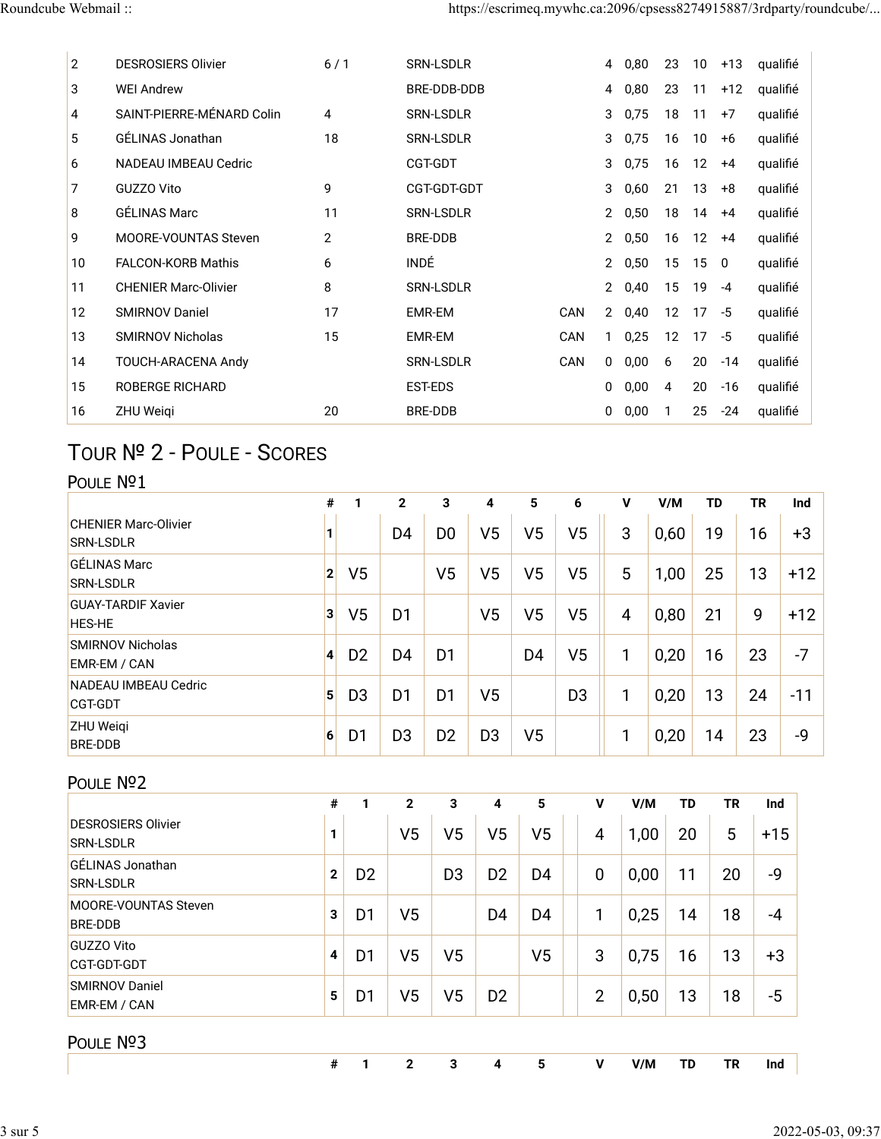| $\overline{2}$    | <b>DESROSIERS Olivier</b>   | 6/1          | <b>SRN-LSDLR</b> |            | 4                     | 0,80 | 23                | 10              | $+13$ | qualifié |
|-------------------|-----------------------------|--------------|------------------|------------|-----------------------|------|-------------------|-----------------|-------|----------|
| 3                 | <b>WEI Andrew</b>           |              | BRE-DDB-DDB      |            | 4                     | 0,80 | 23                | 11              | $+12$ | qualifié |
| 4                 | SAINT-PIERRE-MÉNARD Colin   | 4            | <b>SRN-LSDLR</b> |            | 3                     | 0,75 | 18                | 11              | $+7$  | qualifié |
| 5                 | GÉLINAS Jonathan            | 18           | <b>SRN-LSDLR</b> |            | 3                     | 0,75 | 16                | 10              | $+6$  | qualifié |
| 6                 | <b>NADEAU IMBEAU Cedric</b> |              | CGT-GDT          |            | 3                     | 0,75 | 16                | 12 <sup>2</sup> | $+4$  | qualifié |
| 7                 | GUZZO Vito                  | 9            | CGT-GDT-GDT      |            | 3                     | 0,60 | 21                | 13              | $+8$  | qualifié |
| 8                 | <b>GÉLINAS Marc</b>         | 11           | <b>SRN-LSDLR</b> |            | 2                     | 0,50 | 18                | 14              | $+4$  | qualifié |
| 9                 | <b>MOORE-VOUNTAS Steven</b> | $\mathbf{2}$ | <b>BRE-DDB</b>   |            | $\overline{2}$        | 0,50 | 16                | 12              | $+4$  | qualifié |
| 10                | <b>FALCON-KORB Mathis</b>   | 6            | <b>INDÉ</b>      |            | 2                     | 0,50 | 15                | 150             |       | qualifié |
| 11                | <b>CHENIER Marc-Olivier</b> | 8            | <b>SRN-LSDLR</b> |            | 2                     | 0,40 | 15                | 19              | $-4$  | qualifié |
| $12 \overline{ }$ | <b>SMIRNOV Daniel</b>       | 17           | EMR-EM           | CAN        | $\mathbf{2}^{\prime}$ | 0,40 | $12 \overline{ }$ | 17              | -5    | qualifié |
| 13                | <b>SMIRNOV Nicholas</b>     | 15           | <b>EMR-EM</b>    | CAN        |                       | 0,25 | $12 \overline{ }$ | 17              | -5    | qualifié |
| 14                | TOUCH-ARACENA Andy          |              | <b>SRN-LSDLR</b> | <b>CAN</b> | 0                     | 0,00 | 6                 | 20              | $-14$ | qualifié |
| 15                | <b>ROBERGE RICHARD</b>      |              | <b>EST-EDS</b>   |            | 0                     | 0,00 | 4                 | 20              | $-16$ | qualifié |
| 16                | <b>ZHU Weigi</b>            | 20           | <b>BRE-DDB</b>   |            | 0                     | 0,00 |                   | 25              | $-24$ | qualifié |

# TOUR № 2 - POULE - SCORES

### POULE Nº1

|                                                 | #              |                | $\mathbf{2}$   | 3              | 4              | 5              | 6              | v              | V/M  | TD | TR | Ind   |
|-------------------------------------------------|----------------|----------------|----------------|----------------|----------------|----------------|----------------|----------------|------|----|----|-------|
| <b>CHENIER Marc-Olivier</b><br><b>SRN-LSDLR</b> |                |                | D <sub>4</sub> | D <sub>0</sub> | V5             | V5             | V5             | 3              | 0,60 | 19 | 16 | $+3$  |
| <b>GÉLINAS Marc</b><br><b>SRN-LSDLR</b>         | 2 <sup>1</sup> | V <sub>5</sub> |                | V <sub>5</sub> | V <sub>5</sub> | V5             | V <sub>5</sub> | 5              | 1,00 | 25 | 13 | $+12$ |
| <b>GUAY-TARDIF Xavier</b><br><b>HES-HE</b>      | 3              | V5             | D <sub>1</sub> |                | V <sub>5</sub> | V5             | V <sub>5</sub> | $\overline{4}$ | 0,80 | 21 | 9  | $+12$ |
| <b>SMIRNOV Nicholas</b><br>EMR-EM / CAN         | $\vert$        | D <sub>2</sub> | D <sub>4</sub> | D <sub>1</sub> |                | D <sub>4</sub> | V5             |                | 0,20 | 16 | 23 | $-7$  |
| NADEAU IMBEAU Cedric<br><b>CGT-GDT</b>          | 5 <sup>1</sup> | D <sub>3</sub> | D <sub>1</sub> | D <sub>1</sub> | V <sub>5</sub> |                | D <sub>3</sub> |                | 0,20 | 13 | 24 | $-11$ |
| <b>ZHU Weigi</b><br><b>BRE-DDB</b>              | $6 \mid$       | D <sub>1</sub> | D <sub>3</sub> | D <sub>2</sub> | D <sub>3</sub> | V <sub>5</sub> |                |                | 0,20 | 14 | 23 | -9    |

#### POULE Nº2

|                                               | #              | 1              | $\mathbf{2}$   | 3              | 4              | 5              | v              | V/M  | TD | <b>TR</b> | Ind   |
|-----------------------------------------------|----------------|----------------|----------------|----------------|----------------|----------------|----------------|------|----|-----------|-------|
| <b>DESROSIERS Olivier</b><br><b>SRN-LSDLR</b> | 1              |                | V <sub>5</sub> | V5             | V <sub>5</sub> | V <sub>5</sub> | $\overline{4}$ | 1,00 | 20 | 5         | $+15$ |
| GÉLINAS Jonathan<br><b>SRN-LSDLR</b>          | $\overline{2}$ | D <sub>2</sub> |                | D <sub>3</sub> | D <sub>2</sub> | D <sub>4</sub> | $\mathbf 0$    | 0,00 | 11 | 20        | -9    |
| <b>MOORE-VOUNTAS Steven</b><br><b>BRE-DDB</b> | 3              | D <sub>1</sub> | V <sub>5</sub> |                | D <sub>4</sub> | D <sub>4</sub> | 1              | 0,25 | 14 | 18        | $-4$  |
| <b>GUZZO Vito</b><br><b>CGT-GDT-GDT</b>       | 4              | D <sub>1</sub> | V <sub>5</sub> | V5             |                | V <sub>5</sub> | 3              | 0,75 | 16 | 13        | $+3$  |
| <b>SMIRNOV Daniel</b><br>EMR-EM / CAN         | 5              | D <sub>1</sub> | V5             | V5             | D <sub>2</sub> |                | $\overline{2}$ | 0,50 | 13 | 18        | $-5$  |
| POULE Nº3                                     |                |                |                |                |                |                |                |      |    |           |       |
|                                               | #              | 1              | $\mathbf{2}$   | 3              | 4              | 5              | v              | V/M  | TD | <b>TR</b> | Ind   |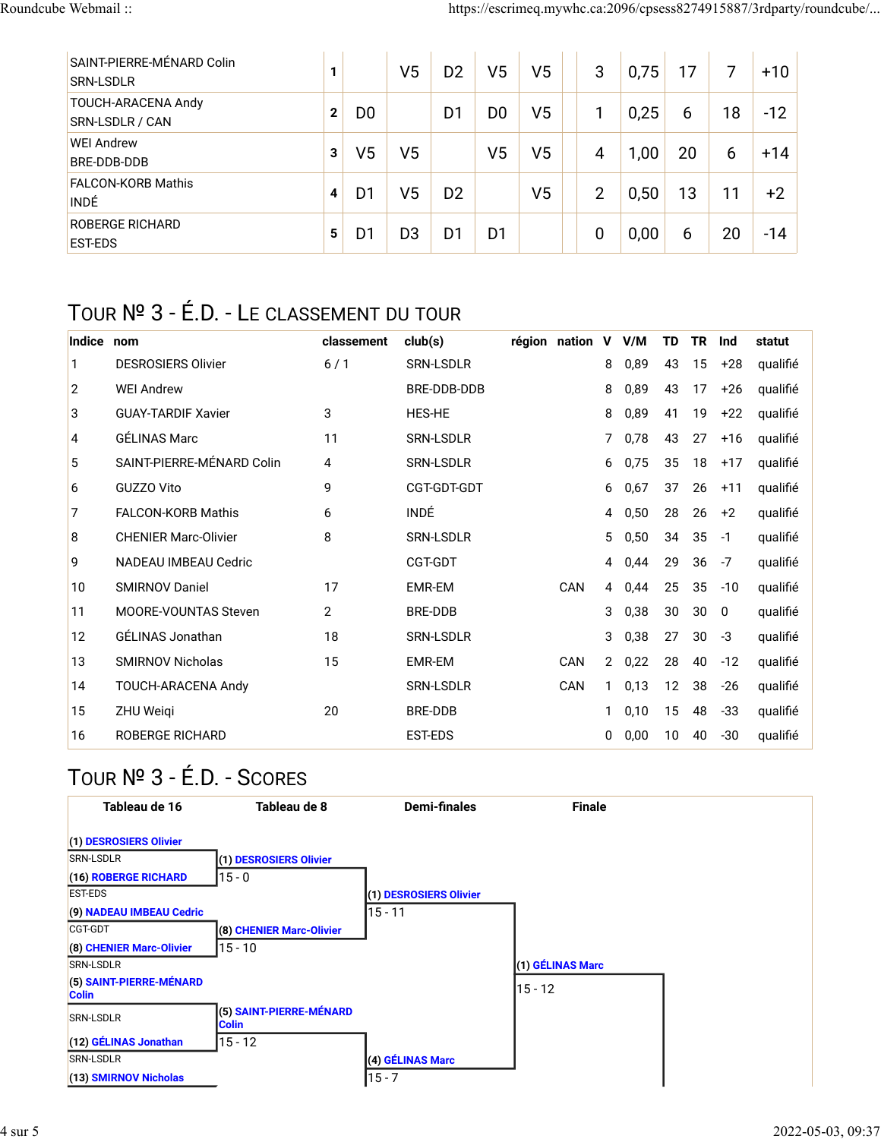| SAINT-PIERRE-MÉNARD Colin<br><b>SRN-LSDLR</b> | 1            |                | V <sub>5</sub> | D2             | V5             | V5             | 3              | 0,75 | 17 | 7  | $+10$ |
|-----------------------------------------------|--------------|----------------|----------------|----------------|----------------|----------------|----------------|------|----|----|-------|
| TOUCH-ARACENA Andy<br>SRN-LSDLR / CAN         | $\mathbf{2}$ | D <sub>0</sub> |                | D1             | D <sub>0</sub> | V5             |                | 0,25 | 6  | 18 | $-12$ |
| <b>WEI Andrew</b><br><b>BRE-DDB-DDB</b>       | 3            | V5             | V5             |                | V5             | V5             | 4              | 1,00 | 20 | 6  | $+14$ |
| <b>FALCON-KORB Mathis</b><br><b>INDÉ</b>      | 4            | D1             | V5             | D <sub>2</sub> |                | V <sub>5</sub> | $\overline{2}$ | 0,50 | 13 | 11 | $+2$  |
| <b>ROBERGE RICHARD</b><br><b>EST-EDS</b>      | 5            | D1             | D <sub>3</sub> | D1             | D1             |                | 0              | 0,00 | 6  | 20 | $-14$ |

## TOUR № 3 - É.D. - LE CLASSEMENT DU TOUR

| Indice         | nom                         | classement     | club(s)          | région nation | V            | V/M  | TD | ΤR | Ind   | statut   |
|----------------|-----------------------------|----------------|------------------|---------------|--------------|------|----|----|-------|----------|
| 1              | <b>DESROSIERS Olivier</b>   | 6/1            | SRN-LSDLR        |               | 8            | 0,89 | 43 | 15 | +28   | qualifié |
| $\overline{2}$ | <b>WEI Andrew</b>           |                | BRE-DDB-DDB      |               | 8            | 0,89 | 43 | 17 | $+26$ | qualifié |
| 3              | <b>GUAY-TARDIF Xavier</b>   | 3              | <b>HES-HE</b>    |               | 8            | 0,89 | 41 | 19 | $+22$ | qualifié |
| 4              | <b>GÉLINAS Marc</b>         | 11             | <b>SRN-LSDLR</b> |               | 7            | 0,78 | 43 | 27 | $+16$ | qualifié |
| 5              | SAINT-PIERRE-MÉNARD Colin   | 4              | <b>SRN-LSDLR</b> |               | 6            | 0,75 | 35 | 18 | $+17$ | qualifié |
| 6              | GUZZO Vito                  | 9              | CGT-GDT-GDT      |               | 6            | 0,67 | 37 | 26 | $+11$ | qualifié |
| 7              | <b>FALCON-KORB Mathis</b>   | 6              | INDÉ             |               | 4            | 0,50 | 28 | 26 | $+2$  | qualifié |
| 8              | <b>CHENIER Marc-Olivier</b> | 8              | SRN-LSDLR        |               | 5            | 0,50 | 34 | 35 | $-1$  | qualifié |
| 9              | <b>NADEAU IMBEAU Cedric</b> |                | CGT-GDT          |               | 4            | 0,44 | 29 | 36 | $-7$  | qualifié |
| 10             | <b>SMIRNOV Daniel</b>       | 17             | EMR-EM           | <b>CAN</b>    | 4            | 0,44 | 25 | 35 | $-10$ | qualifié |
| 11             | <b>MOORE-VOUNTAS Steven</b> | $\overline{2}$ | BRE-DDB          |               | 3            | 0,38 | 30 | 30 | 0     | qualifié |
| 12             | GÉLINAS Jonathan            | 18             | SRN-LSDLR        |               | 3            | 0,38 | 27 | 30 | $-3$  | qualifié |
| 13             | <b>SMIRNOV Nicholas</b>     | 15             | EMR-EM           | CAN           | $\mathbf{2}$ | 0,22 | 28 | 40 | $-12$ | qualifié |
| 14             | TOUCH-ARACENA Andy          |                | <b>SRN-LSDLR</b> | CAN           | 1            | 0,13 | 12 | 38 | $-26$ | qualifié |
| 15             | ZHU Weigi                   | 20             | <b>BRE-DDB</b>   |               |              | 0,10 | 15 | 48 | -33   | qualifié |
| 16             | <b>ROBERGE RICHARD</b>      |                | EST-EDS          |               | 0            | 0,00 | 10 | 40 | $-30$ | qualifié |

# TOUR № 3 - É.D. - SCORES